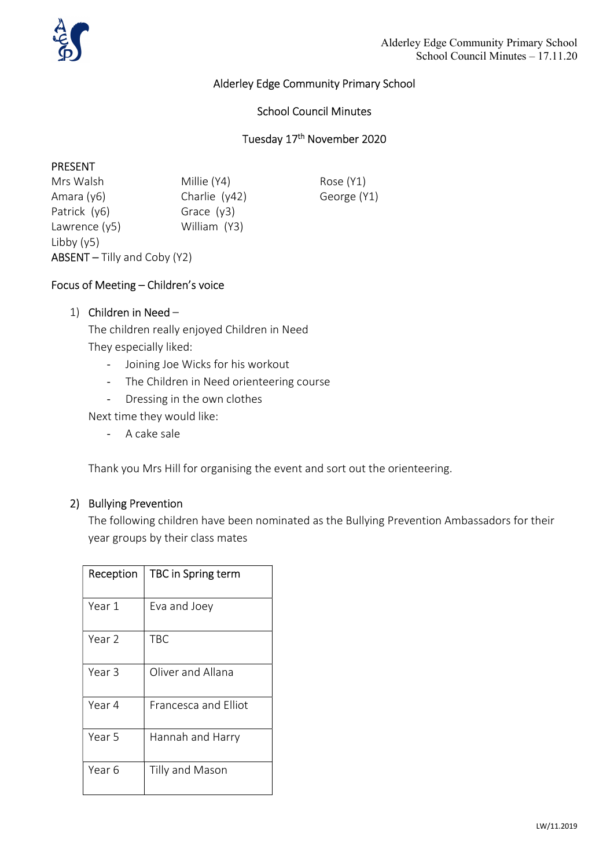

## Alderley Edge Community Primary School

### School Council Minutes

# Tuesday 17th November 2020

### PRESENT

Mrs Walsh Millie (Y4) Rose (Y1) Amara (y6) Charlie (y42) George (Y1) Patrick (y6) Grace (y3) Lawrence (y5) William (Y3) Libby (y5) ABSENT – Tilly and Coby (Y2)

### Focus of Meeting – Children's voice

### 1) Children in Need –

The children really enjoyed Children in Need They especially liked:

- Joining Joe Wicks for his workout
- The Children in Need orienteering course
- Dressing in the own clothes

Next time they would like:

- A cake sale

Thank you Mrs Hill for organising the event and sort out the orienteering.

#### 2) Bullying Prevention

The following children have been nominated as the Bullying Prevention Ambassadors for their year groups by their class mates

| Reception | TBC in Spring term   |
|-----------|----------------------|
| Year 1    | Eva and Joey         |
| Year 2    | TBC                  |
| Year 3    | Oliver and Allana    |
| Year 4    | Francesca and Elliot |
| Year 5    | Hannah and Harry     |
| Year 6    | Tilly and Mason      |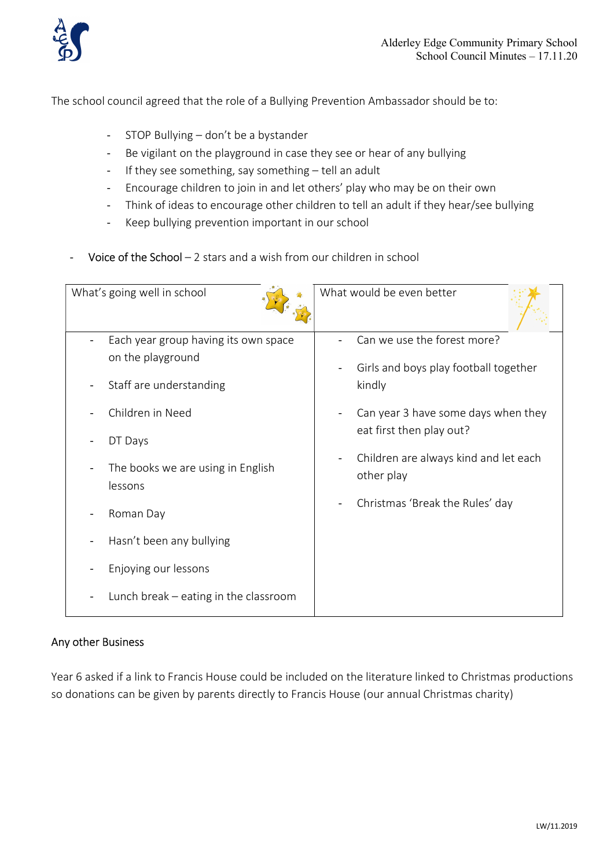

The school council agreed that the role of a Bullying Prevention Ambassador should be to:

- STOP Bullying don't be a bystander
- Be vigilant on the playground in case they see or hear of any bullying
- If they see something, say something tell an adult
- Encourage children to join in and let others' play who may be on their own
- Think of ideas to encourage other children to tell an adult if they hear/see bullying
- Keep bullying prevention important in our school
- Voice of the School 2 stars and a wish from our children in school

| What's going well in school                  | What would be even better                                                                                              |
|----------------------------------------------|------------------------------------------------------------------------------------------------------------------------|
| Each year group having its own space         | Can we use the forest more?                                                                                            |
| on the playground                            | Girls and boys play football together                                                                                  |
| Staff are understanding                      | kindly                                                                                                                 |
| Children in Need                             | Can year 3 have some days when they<br>eat first then play out?<br>Children are always kind and let each<br>other play |
| DT Days                                      |                                                                                                                        |
| The books we are using in English<br>lessons |                                                                                                                        |
| Roman Day                                    | Christmas 'Break the Rules' day                                                                                        |
| Hasn't been any bullying                     |                                                                                                                        |
| Enjoying our lessons                         |                                                                                                                        |
| Lunch break $-$ eating in the classroom      |                                                                                                                        |

## Any other Business

Year 6 asked if a link to Francis House could be included on the literature linked to Christmas productions so donations can be given by parents directly to Francis House (our annual Christmas charity)